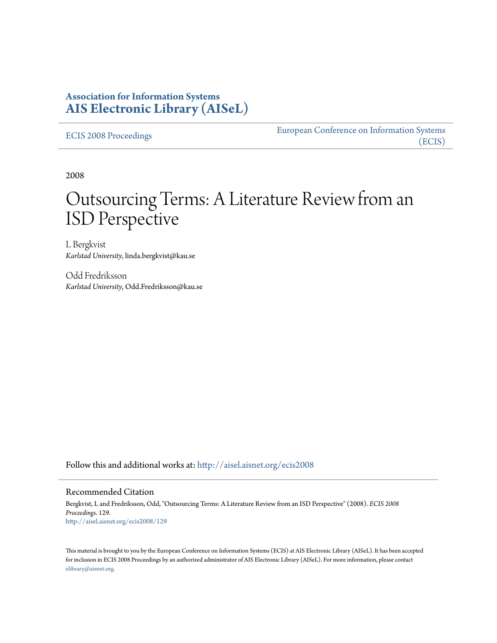## **Association for Information Systems [AIS Electronic Library \(AISeL\)](http://aisel.aisnet.org?utm_source=aisel.aisnet.org%2Fecis2008%2F129&utm_medium=PDF&utm_campaign=PDFCoverPages)**

[ECIS 2008 Proceedings](http://aisel.aisnet.org/ecis2008?utm_source=aisel.aisnet.org%2Fecis2008%2F129&utm_medium=PDF&utm_campaign=PDFCoverPages)

[European Conference on Information Systems](http://aisel.aisnet.org/ecis?utm_source=aisel.aisnet.org%2Fecis2008%2F129&utm_medium=PDF&utm_campaign=PDFCoverPages) [\(ECIS\)](http://aisel.aisnet.org/ecis?utm_source=aisel.aisnet.org%2Fecis2008%2F129&utm_medium=PDF&utm_campaign=PDFCoverPages)

2008

# Outsourcing Terms: A Literature Review from an ISD Perspective

L Bergkvist *Karlstad University*, linda.bergkvist@kau.se

Odd Fredriksson *Karlstad University*, Odd.Fredriksson@kau.se

Follow this and additional works at: [http://aisel.aisnet.org/ecis2008](http://aisel.aisnet.org/ecis2008?utm_source=aisel.aisnet.org%2Fecis2008%2F129&utm_medium=PDF&utm_campaign=PDFCoverPages)

#### Recommended Citation

Bergkvist, L and Fredriksson, Odd, "Outsourcing Terms: A Literature Review from an ISD Perspective" (2008). *ECIS 2008 Proceedings*. 129. [http://aisel.aisnet.org/ecis2008/129](http://aisel.aisnet.org/ecis2008/129?utm_source=aisel.aisnet.org%2Fecis2008%2F129&utm_medium=PDF&utm_campaign=PDFCoverPages)

This material is brought to you by the European Conference on Information Systems (ECIS) at AIS Electronic Library (AISeL). It has been accepted for inclusion in ECIS 2008 Proceedings by an authorized administrator of AIS Electronic Library (AISeL). For more information, please contact [elibrary@aisnet.org.](mailto:elibrary@aisnet.org%3E)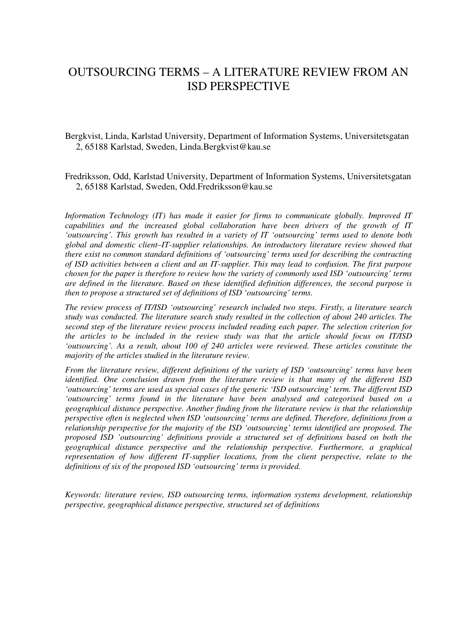## OUTSOURCING TERMS – A LITERATURE REVIEW FROM AN ISD PERSPECTIVE

Bergkvist, Linda, Karlstad University, Department of Information Systems, Universitetsgatan 2, 65188 Karlstad, Sweden, Linda.Bergkvist@kau.se

Fredriksson, Odd, Karlstad University, Department of Information Systems, Universitetsgatan 2, 65188 Karlstad, Sweden, Odd.Fredriksson@kau.se

*Information Technology (IT) has made it easier for firms to communicate globally. Improved IT capabilities and the increased global collaboration have been drivers of the growth of IT 'outsourcing'. This growth has resulted in a variety of IT 'outsourcing' terms used to denote both global and domestic client–IT-supplier relationships. An introductory literature review showed that there exist no common standard definitions of 'outsourcing' terms used for describing the contracting of ISD activities between a client and an IT-supplier. This may lead to confusion. The first purpose chosen for the paper is therefore to review how the variety of commonly used ISD 'outsourcing' terms are defined in the literature. Based on these identified definition differences, the second purpose is then to propose a structured set of definitions of ISD 'outsourcing' terms.*

*The review process of IT/ISD 'outsourcing' research included two steps. Firstly, a literature search study was conducted. The literature search study resulted in the collection of about 240 articles. The second step of the literature review process included reading each paper. The selection criterion for the articles to be included in the review study was that the article should focus on IT/ISD 'outsourcing'. As a result, about 100 of 240 articles were reviewed. These articles constitute the majority of the articles studied in the literature review.*

*From the literature review, different definitions of the variety of ISD 'outsourcing' terms have been identified. One conclusion drawn from the literature review is that many of the different ISD 'outsourcing' terms are used as special cases of the generic 'ISD outsourcing' term. The different ISD 'outsourcing' terms found in the literature have been analysed and categorised based on a geographical distance perspective. Another finding from the literature review is that the relationship perspective often is neglected when ISD 'outsourcing' terms are defined. Therefore, definitions from a relationship perspective for the majority of the ISD 'outsourcing' terms identified are proposed. The proposed ISD 'outsourcing' definitions provide a structured set of definitions based on both the geographical distance perspective and the relationship perspective. Furthermore, a graphical representation of how different IT-supplier locations, from the client perspective, relate to the definitions of six of the proposed ISD 'outsourcing' terms is provided.*

*Keywords: literature review, ISD outsourcing terms, information systems development, relationship perspective, geographical distance perspective, structured set of definitions*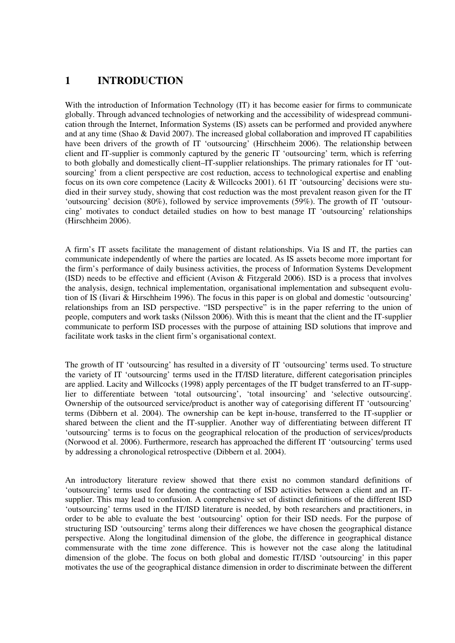## **1 INTRODUCTION**

With the introduction of Information Technology (IT) it has become easier for firms to communicate globally. Through advanced technologies of networking and the accessibility of widespread communication through the Internet, Information Systems (IS) assets can be performed and provided anywhere and at any time (Shao & David 2007). The increased global collaboration and improved IT capabilities have been drivers of the growth of IT 'outsourcing' (Hirschheim 2006). The relationship between client and IT-supplier is commonly captured by the generic IT 'outsourcing' term, which is referring to both globally and domestically client–IT-supplier relationships. The primary rationales for IT 'outsourcing' from a client perspective are cost reduction, access to technological expertise and enabling focus on its own core competence (Lacity & Willcocks 2001). 61 IT 'outsourcing' decisions were studied in their survey study, showing that cost reduction was the most prevalent reason given for the IT 'outsourcing' decision (80%), followed by service improvements (59%). The growth of IT 'outsourcing' motivates to conduct detailed studies on how to best manage IT 'outsourcing' relationships (Hirschheim 2006).

A firm's IT assets facilitate the management of distant relationships. Via IS and IT, the parties can communicate independently of where the parties are located. As IS assets become more important for the firm's performance of daily business activities, the process of Information Systems Development (ISD) needs to be effective and efficient (Avison & Fitzgerald 2006). ISD is a process that involves the analysis, design, technical implementation, organisational implementation and subsequent evolution of IS (Iivari & Hirschheim 1996). The focus in this paper is on global and domestic 'outsourcing' relationships from an ISD perspective. "ISD perspective" is in the paper referring to the union of people, computers and work tasks (Nilsson 2006). With this is meant that the client and the IT-supplier communicate to perform ISD processes with the purpose of attaining ISD solutions that improve and facilitate work tasks in the client firm's organisational context.

The growth of IT 'outsourcing' has resulted in a diversity of IT 'outsourcing' terms used. To structure the variety of IT 'outsourcing' terms used in the IT/ISD literature, different categorisation principles are applied. Lacity and Willcocks (1998) apply percentages of the IT budget transferred to an IT-supplier to differentiate between 'total outsourcing', 'total insourcing' and 'selective outsourcing'. Ownership of the outsourced service/product is another way of categorising different IT 'outsourcing' terms (Dibbern et al. 2004). The ownership can be kept in-house, transferred to the IT-supplier or shared between the client and the IT-supplier. Another way of differentiating between different IT 'outsourcing' terms is to focus on the geographical relocation of the production of services/products (Norwood et al. 2006). Furthermore, research has approached the different IT 'outsourcing' terms used by addressing a chronological retrospective (Dibbern et al. 2004).

An introductory literature review showed that there exist no common standard definitions of 'outsourcing' terms used for denoting the contracting of ISD activities between a client and an ITsupplier. This may lead to confusion. A comprehensive set of distinct definitions of the different ISD 'outsourcing' terms used in the IT/ISD literature is needed, by both researchers and practitioners, in order to be able to evaluate the best 'outsourcing' option for their ISD needs. For the purpose of structuring ISD 'outsourcing' terms along their differences we have chosen the geographical distance perspective. Along the longitudinal dimension of the globe, the difference in geographical distance commensurate with the time zone difference. This is however not the case along the latitudinal dimension of the globe. The focus on both global and domestic IT/ISD 'outsourcing' in this paper motivates the use of the geographical distance dimension in order to discriminate between the different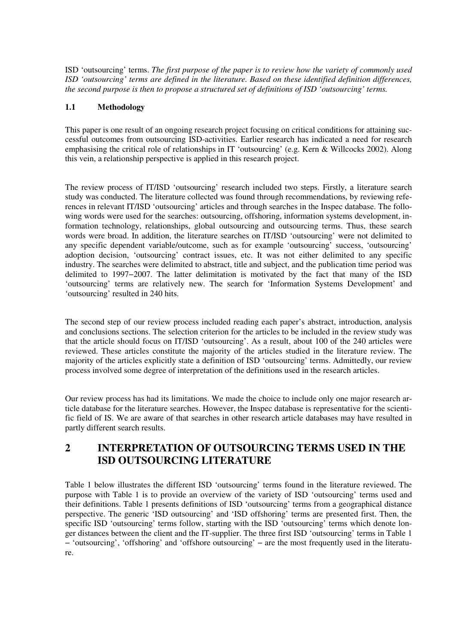ISD 'outsourcing' terms. *The first purpose of the paper is to review how the variety of commonly used ISD 'outsourcing' terms are defined in the literature. Based on these identified definition differences, the second purpose is then to propose a structured set of definitions of ISD 'outsourcing' terms.*

#### **1.1 Methodology**

This paper is one result of an ongoing research project focusing on critical conditions for attaining successful outcomes from outsourcing ISD-activities. Earlier research has indicated a need for research emphasising the critical role of relationships in IT 'outsourcing' (e.g. Kern & Willcocks 2002). Along this vein, a relationship perspective is applied in this research project.

The review process of IT/ISD 'outsourcing' research included two steps. Firstly, a literature search study was conducted. The literature collected was found through recommendations, by reviewing references in relevant IT/ISD 'outsourcing' articles and through searches in the Inspec database. The following words were used for the searches: outsourcing, offshoring, information systems development, information technology, relationships, global outsourcing and outsourcing terms. Thus, these search words were broad. In addition, the literature searches on IT/ISD 'outsourcing' were not delimited to any specific dependent variable/outcome, such as for example 'outsourcing' success, 'outsourcing' adoption decision, 'outsourcing' contract issues, etc. It was not either delimited to any specific industry. The searches were delimited to abstract, title and subject, and the publication time period was delimited to 1997−2007. The latter delimitation is motivated by the fact that many of the ISD 'outsourcing' terms are relatively new. The search for 'Information Systems Development' and 'outsourcing' resulted in 240 hits.

The second step of our review process included reading each paper's abstract, introduction, analysis and conclusions sections. The selection criterion for the articles to be included in the review study was that the article should focus on IT/ISD 'outsourcing'. As a result, about 100 of the 240 articles were reviewed. These articles constitute the majority of the articles studied in the literature review. The majority of the articles explicitly state a definition of ISD 'outsourcing' terms. Admittedly, our review process involved some degree of interpretation of the definitions used in the research articles.

Our review process has had its limitations. We made the choice to include only one major research article database for the literature searches. However, the Inspec database is representative for the scientific field of IS. We are aware of that searches in other research article databases may have resulted in partly different search results.

## **2 INTERPRETATION OF OUTSOURCING TERMS USED IN THE ISD OUTSOURCING LITERATURE**

Table 1 below illustrates the different ISD 'outsourcing' terms found in the literature reviewed. The purpose with Table 1 is to provide an overview of the variety of ISD 'outsourcing' terms used and their definitions. Table 1 presents definitions of ISD 'outsourcing' terms from a geographical distance perspective. The generic 'ISD outsourcing' and 'ISD offshoring' terms are presented first. Then, the specific ISD 'outsourcing' terms follow, starting with the ISD 'outsourcing' terms which denote longer distances between the client and the IT-supplier. The three first ISD 'outsourcing' terms in Table 1 − 'outsourcing', 'offshoring' and 'offshore outsourcing' − are the most frequently used in the literature.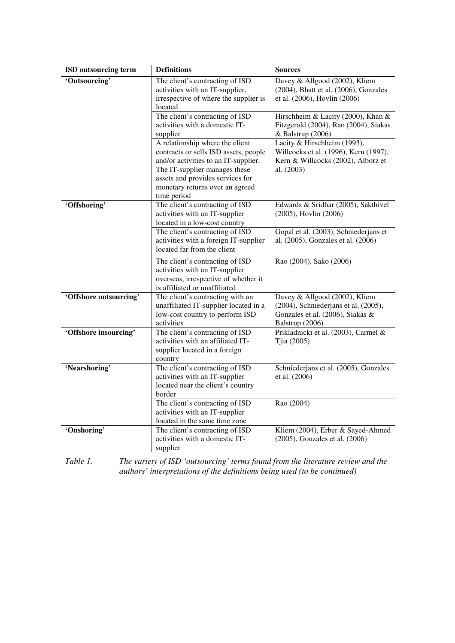| ISD outsourcing term   | <b>Definitions</b>                                                                                                                                                                                                                      | <b>Sources</b>                                                                                                               |
|------------------------|-----------------------------------------------------------------------------------------------------------------------------------------------------------------------------------------------------------------------------------------|------------------------------------------------------------------------------------------------------------------------------|
| 'Outsourcing'          | The client's contracting of ISD<br>activities with an IT-supplier,<br>irrespective of where the supplier is<br>located                                                                                                                  | Davey & Allgood (2002), Kliem<br>(2004), Bhatt et al. (2006), Gonzales<br>et al. (2006), Hovlin (2006)                       |
|                        | The client's contracting of ISD<br>activities with a domestic IT-<br>supplier                                                                                                                                                           | Hirschheim & Lacity (2000), Khan &<br>Fitzgerald (2004), Rao (2004), Siakas<br>& Balstrup (2006)                             |
|                        | A relationship where the client<br>contracts or sells ISD assets, people<br>and/or activities to an IT-supplier.<br>The IT-supplier manages these<br>assets and provides services for<br>monetary returns over an agreed<br>time period | Lacity & Hirschheim (1993),<br>Willcocks et al. (1996), Kern (1997),<br>Kern & Willcocks (2002), Alborz et<br>al. (2003)     |
| 'Offshoring'           | The client's contracting of ISD<br>activities with an IT-supplier<br>located in a low-cost country                                                                                                                                      | Edwards & Sridhar (2005), Sakthivel<br>(2005), Hovlin (2006)                                                                 |
|                        | The client's contracting of ISD<br>activities with a foreign IT-supplier<br>located far from the client                                                                                                                                 | Gopal et al. (2003), Schniederjans et<br>al. (2005), Gonzales et al. (2006)                                                  |
|                        | The client's contracting of ISD<br>activities with an IT-supplier<br>overseas, irrespective of whether it<br>is affiliated or unaffiliated                                                                                              | Rao (2004), Sako (2006)                                                                                                      |
| 'Offshore outsourcing' | The client's contracting with an<br>unaffiliated IT-supplier located in a<br>low-cost country to perform ISD<br>activities                                                                                                              | Davey & Allgood (2002), Kliem<br>(2004), Schniederjans et al. (2005),<br>Gonzales et al. (2006), Siakas &<br>Balstrup (2006) |
| 'Offshore insourcing'  | The client's contracting of ISD<br>activities with an affiliated IT-<br>supplier located in a foreign<br>country                                                                                                                        | Prikladnicki et al. (2003), Carmel &<br>Tjia (2005)                                                                          |
| 'Nearshoring'          | The client's contracting of ISD<br>activities with an IT-supplier<br>located near the client's country<br>border                                                                                                                        | Schniederjans et al. (2005), Gonzales<br>et al. (2006)                                                                       |
|                        | The client's contracting of ISD<br>activities with an IT-supplier<br>located in the same time zone                                                                                                                                      | Rao (2004)                                                                                                                   |
| 'Onshoring'            | The client's contracting of ISD<br>activities with a domestic IT-<br>supplier                                                                                                                                                           | Kliem (2004), Erber & Sayed-Ahmed<br>(2005), Gonzales et al. (2006)                                                          |

*Table 1. The variety of ISD 'outsourcing' terms found from the literature review and the authors' interpretations of the definitions being used (to be continued)*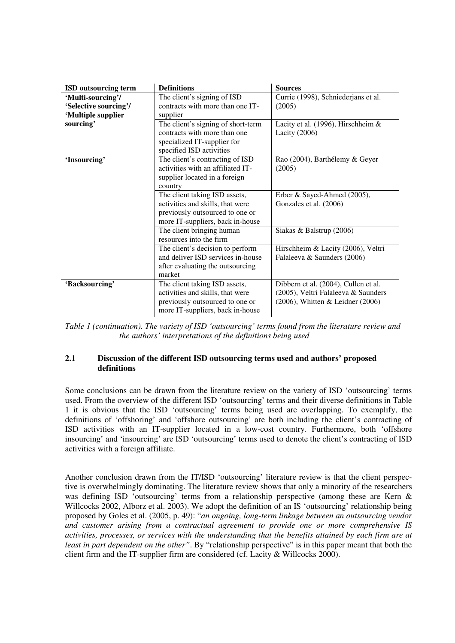| <b>ISD</b> outsourcing term | <b>Definitions</b>                 | <b>Sources</b>                        |
|-----------------------------|------------------------------------|---------------------------------------|
| 'Multi-sourcing'/           | The client's signing of ISD        | Currie (1998), Schniederjans et al.   |
| 'Selective sourcing'/       | contracts with more than one IT-   | (2005)                                |
| 'Multiple supplier          | supplier                           |                                       |
| sourcing'                   | The client's signing of short-term | Lacity et al. (1996), Hirschheim &    |
|                             | contracts with more than one       | Lacity $(2006)$                       |
|                             | specialized IT-supplier for        |                                       |
|                             | specified ISD activities           |                                       |
| 'Insourcing'                | The client's contracting of ISD    | Rao (2004), Barthélemy & Geyer        |
|                             | activities with an affiliated IT-  | (2005)                                |
|                             | supplier located in a foreign      |                                       |
|                             | country                            |                                       |
|                             | The client taking ISD assets,      | Erber & Sayed-Ahmed (2005),           |
|                             | activities and skills, that were   | Gonzales et al. (2006)                |
|                             | previously outsourced to one or    |                                       |
|                             | more IT-suppliers, back in-house   |                                       |
|                             | The client bringing human          | Siakas & Balstrup (2006)              |
|                             | resources into the firm            |                                       |
|                             | The client's decision to perform   | Hirschheim & Lacity (2006), Veltri    |
|                             | and deliver ISD services in-house  | Falaleeva & Saunders (2006)           |
|                             | after evaluating the outsourcing   |                                       |
|                             | market                             |                                       |
| 'Backsourcing'              | The client taking ISD assets,      | Dibbern et al. (2004), Cullen et al.  |
|                             | activities and skills, that were   | (2005), Veltri Falaleeva & Saunders   |
|                             | previously outsourced to one or    | $(2006)$ , Whitten & Leidner $(2006)$ |
|                             | more IT-suppliers, back in-house   |                                       |

*Table 1 (continuation). The variety of ISD 'outsourcing' terms found from the literature review and the authors' interpretations of the definitions being used*

#### **2.1 Discussion of the different ISD outsourcing terms used and authors' proposed definitions**

Some conclusions can be drawn from the literature review on the variety of ISD 'outsourcing' terms used. From the overview of the different ISD 'outsourcing' terms and their diverse definitions in Table 1 it is obvious that the ISD 'outsourcing' terms being used are overlapping. To exemplify, the definitions of 'offshoring' and 'offshore outsourcing' are both including the client's contracting of ISD activities with an IT-supplier located in a low-cost country. Furthermore, both 'offshore insourcing' and 'insourcing' are ISD 'outsourcing' terms used to denote the client's contracting of ISD activities with a foreign affiliate.

Another conclusion drawn from the IT/ISD 'outsourcing' literature review is that the client perspective is overwhelmingly dominating. The literature review shows that only a minority of the researchers was defining ISD 'outsourcing' terms from a relationship perspective (among these are Kern & Willcocks 2002, Alborz et al. 2003). We adopt the definition of an IS 'outsourcing' relationship being proposed by Goles et al. (2005, p. 49): "*an ongoing, long-term linkage between an outsourcing vendor and customer arising from a contractual agreement to provide one or more comprehensive IS activities, processes, or services with the understanding that the benefits attained by each firm are at least in part dependent on the other"*. By "relationship perspective" is in this paper meant that both the client firm and the IT-supplier firm are considered (cf. Lacity & Willcocks 2000).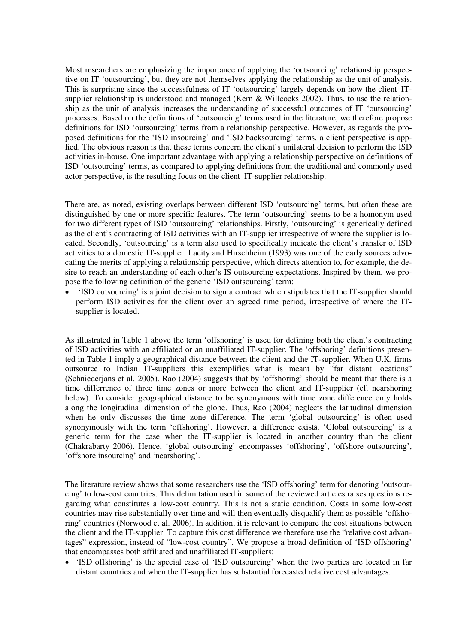Most researchers are emphasizing the importance of applying the 'outsourcing' relationship perspective on IT 'outsourcing', but they are not themselves applying the relationship as the unit of analysis. This is surprising since the successfulness of IT 'outsourcing' largely depends on how the client–ITsupplier relationship is understood and managed (Kern & Willcocks 2002)**.** Thus, to use the relationship as the unit of analysis increases the understanding of successful outcomes of IT 'outsourcing' processes. Based on the definitions of 'outsourcing' terms used in the literature, we therefore propose definitions for ISD 'outsourcing' terms from a relationship perspective. However, as regards the proposed definitions for the 'ISD insourcing' and 'ISD backsourcing' terms, a client perspective is applied. The obvious reason is that these terms concern the client's unilateral decision to perform the ISD activities in-house. One important advantage with applying a relationship perspective on definitions of ISD 'outsourcing' terms, as compared to applying definitions from the traditional and commonly used actor perspective, is the resulting focus on the client–IT-supplier relationship.

There are, as noted, existing overlaps between different ISD 'outsourcing' terms, but often these are distinguished by one or more specific features. The term 'outsourcing' seems to be a homonym used for two different types of ISD 'outsourcing' relationships. Firstly, 'outsourcing' is generically defined as the client's contracting of ISD activities with an IT-supplier irrespective of where the supplier is located. Secondly, 'outsourcing' is a term also used to specifically indicate the client's transfer of ISD activities to a domestic IT-supplier. Lacity and Hirschheim (1993) was one of the early sources advocating the merits of applying a relationship perspective, which directs attention to, for example, the desire to reach an understanding of each other's IS outsourcing expectations. Inspired by them, we propose the following definition of the generic 'ISD outsourcing' term:

• 'ISD outsourcing' is a joint decision to sign a contract which stipulates that the IT-supplier should perform ISD activities for the client over an agreed time period, irrespective of where the ITsupplier is located.

As illustrated in Table 1 above the term 'offshoring' is used for defining both the client's contracting of ISD activities with an affiliated or an unaffiliated IT-supplier. The 'offshoring' definitions presented in Table 1 imply a geographical distance between the client and the IT-supplier. When U.K. firms outsource to Indian IT-suppliers this exemplifies what is meant by "far distant locations" (Schniederjans et al. 2005). Rao (2004) suggests that by 'offshoring' should be meant that there is a time differrence of three time zones or more between the client and IT-supplier (cf. nearshoring below). To consider geographical distance to be synonymous with time zone difference only holds along the longitudinal dimension of the globe. Thus, Rao (2004) neglects the latitudinal dimension when he only discusses the time zone difference. The term 'global outsourcing' is often used synonymously with the term 'offshoring'. However, a difference exist**s**. 'Global outsourcing' is a generic term for the case when the IT-supplier is located in another country than the client (Chakrabarty 2006). Hence, 'global outsourcing' encompasses 'offshoring', 'offshore outsourcing', 'offshore insourcing' and 'nearshoring'.

The literature review shows that some researchers use the 'ISD offshoring' term for denoting 'outsourcing' to low-cost countries. This delimitation used in some of the reviewed articles raises questions regarding what constitutes a low-cost country. This is not a static condition. Costs in some low-cost countries may rise substantially over time and will then eventually disqualify them as possible 'offshoring' countries (Norwood et al. 2006). In addition, it is relevant to compare the cost situations between the client and the IT-supplier. To capture this cost difference we therefore use the "relative cost advantages" expression, instead of "low-cost country". We propose a broad definition of 'ISD offshoring' that encompasses both affiliated and unaffiliated IT-suppliers:

• 'ISD offshoring' is the special case of 'ISD outsourcing' when the two parties are located in far distant countries and when the IT-supplier has substantial forecasted relative cost advantages.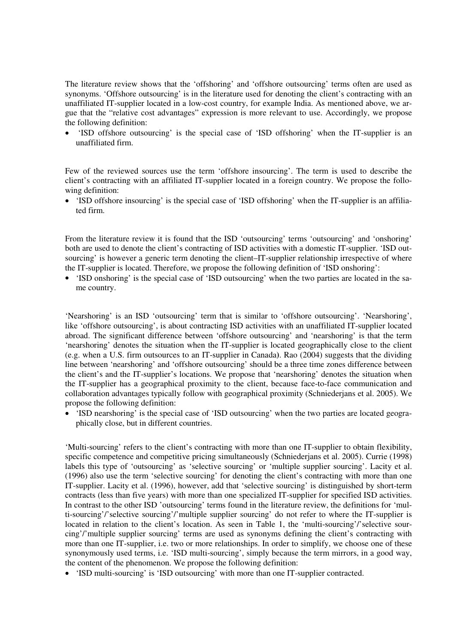The literature review shows that the 'offshoring' and 'offshore outsourcing' terms often are used as synonyms. 'Offshore outsourcing' is in the literature used for denoting the client's contracting with an unaffiliated IT-supplier located in a low-cost country, for example India. As mentioned above, we argue that the "relative cost advantages" expression is more relevant to use. Accordingly, we propose the following definition:

• 'ISD offshore outsourcing' is the special case of 'ISD offshoring' when the IT-supplier is an unaffiliated firm.

Few of the reviewed sources use the term 'offshore insourcing'. The term is used to describe the client's contracting with an affiliated IT-supplier located in a foreign country. We propose the following definition:

• 'ISD offshore insourcing' is the special case of 'ISD offshoring' when the IT-supplier is an affiliated firm.

From the literature review it is found that the ISD 'outsourcing' terms 'outsourcing' and 'onshoring' both are used to denote the client's contracting of ISD activities with a domestic IT-supplier. 'ISD outsourcing' is however a generic term denoting the client–IT-supplier relationship irrespective of where the IT-supplier is located. Therefore, we propose the following definition of 'ISD onshoring':

• 'ISD onshoring' is the special case of 'ISD outsourcing' when the two parties are located in the same country.

'Nearshoring' is an ISD 'outsourcing' term that is similar to 'offshore outsourcing'. 'Nearshoring', like 'offshore outsourcing', is about contracting ISD activities with an unaffiliated IT-supplier located abroad. The significant difference between 'offshore outsourcing' and 'nearshoring' is that the term 'nearshoring' denotes the situation when the IT-supplier is located geographically close to the client (e.g. when a U.S. firm outsources to an IT-supplier in Canada**)**. Rao (2004) suggests that the dividing line between 'nearshoring' and 'offshore outsourcing' should be a three time zones difference between the client's and the IT-supplier's locations. We propose that 'nearshoring' denotes the situation when the IT-supplier has a geographical proximity to the client, because face-to-face communication and collaboration advantages typically follow with geographical proximity (Schniederjans et al. 2005). We propose the following definition:

• 'ISD nearshoring' is the special case of 'ISD outsourcing' when the two parties are located geographically close, but in different countries.

'Multi-sourcing' refers to the client's contracting with more than one IT-supplier to obtain flexibility, specific competence and competitive pricing simultaneously (Schniederjans et al. 2005). Currie (1998) labels this type of 'outsourcing' as 'selective sourcing' or 'multiple supplier sourcing'. Lacity et al. (1996) also use the term 'selective sourcing' for denoting the client's contracting with more than one IT-supplier. Lacity et al. (1996), however, add that 'selective sourcing' is distinguished by short-term contracts (less than five years) with more than one specialized IT-supplier for specified ISD activities. In contrast to the other ISD 'outsourcing' terms found in the literature review, the definitions for 'multi-sourcing'/'selective sourcing'/'multiple supplier sourcing' do not refer to where the IT-supplier is located in relation to the client's location. As seen in Table 1, the 'multi-sourcing'/'selective sourcing'/'multiple supplier sourcing' terms are used as synonyms defining the client's contracting with more than one IT-supplier, i.e. two or more relationships. In order to simplify, we choose one of these synonymously used terms, i.e. 'ISD multi-sourcing', simply because the term mirrors, in a good way, the content of the phenomenon. We propose the following definition:

• 'ISD multi-sourcing' is 'ISD outsourcing' with more than one IT-supplier contracted.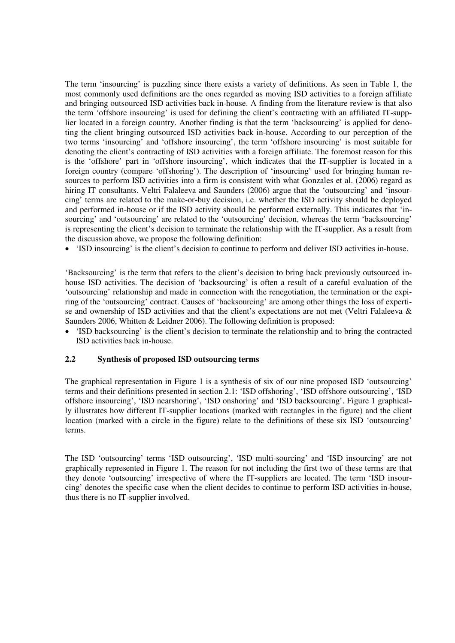The term 'insourcing' is puzzling since there exists a variety of definitions. As seen in Table 1, the most commonly used definitions are the ones regarded as moving ISD activities to a foreign affiliate and bringing outsourced ISD activities back in-house. A finding from the literature review is that also the term 'offshore insourcing' is used for defining the client's contracting with an affiliated IT-supplier located in a foreign country. Another finding is that the term 'backsourcing' is applied for denoting the client bringing outsourced ISD activities back in-house. According to our perception of the two terms 'insourcing' and 'offshore insourcing', the term 'offshore insourcing' is most suitable for denoting the client's contracting of ISD activities with a foreign affiliate. The foremost reason for this is the 'offshore' part in 'offshore insourcing', which indicates that the IT-supplier is located in a foreign country (compare 'offshoring'). The description of 'insourcing' used for bringing human resources to perform ISD activities into a firm is consistent with what Gonzales et al. (2006) regard as hiring IT consultants. Veltri Falaleeva and Saunders (2006) argue that the 'outsourcing' and 'insourcing' terms are related to the make-or-buy decision, i.e. whether the ISD activity should be deployed and performed in-house or if the ISD activity should be performed externally. This indicates that 'insourcing' and 'outsourcing' are related to the 'outsourcing' decision, whereas the term 'backsourcing' is representing the client's decision to terminate the relationship with the IT-supplier. As a result from the discussion above, we propose the following definition:

• 'ISD insourcing' is the client's decision to continue to perform and deliver ISD activities in-house.

'Backsourcing' is the term that refers to the client's decision to bring back previously outsourced inhouse ISD activities. The decision of 'backsourcing' is often a result of a careful evaluation of the 'outsourcing' relationship and made in connection with the renegotiation, the termination or the expiring of the 'outsourcing' contract. Causes of 'backsourcing' are among other things the loss of expertise and ownership of ISD activities and that the client's expectations are not met (Veltri Falaleeva & Saunders 2006, Whitten & Leidner 2006). The following definition is proposed:

• 'ISD backsourcing' is the client's decision to terminate the relationship and to bring the contracted ISD activities back in-house.

#### **2.2 Synthesis of proposed ISD outsourcing terms**

The graphical representation in Figure 1 is a synthesis of six of our nine proposed ISD 'outsourcing' terms and their definitions presented in section 2.1: 'ISD offshoring', 'ISD offshore outsourcing', 'ISD offshore insourcing', 'ISD nearshoring', 'ISD onshoring' and 'ISD backsourcing'. Figure 1 graphically illustrates how different IT-supplier locations (marked with rectangles in the figure) and the client location (marked with a circle in the figure) relate to the definitions of these six ISD 'outsourcing' terms.

The ISD 'outsourcing' terms 'ISD outsourcing', 'ISD multi-sourcing' and 'ISD insourcing' are not graphically represented in Figure 1. The reason for not including the first two of these terms are that they denote 'outsourcing' irrespective of where the IT-suppliers are located. The term 'ISD insourcing' denotes the specific case when the client decides to continue to perform ISD activities in-house, thus there is no IT-supplier involved.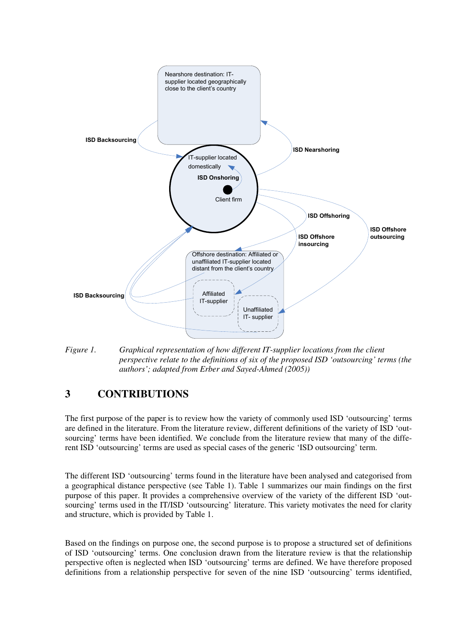

*Figure 1. Graphical representation of how different IT-supplier locations from the client perspective relate to the definitions of six of the proposed ISD 'outsourcing' terms (the authors'; adapted from Erber and Sayed-Ahmed (2005))*

## **3 CONTRIBUTIONS**

The first purpose of the paper is to review how the variety of commonly used ISD 'outsourcing' terms are defined in the literature. From the literature review, different definitions of the variety of ISD 'outsourcing' terms have been identified. We conclude from the literature review that many of the different ISD 'outsourcing' terms are used as special cases of the generic 'ISD outsourcing' term.

The different ISD 'outsourcing' terms found in the literature have been analysed and categorised from a geographical distance perspective (see Table 1). Table 1 summarizes our main findings on the first purpose of this paper. It provides a comprehensive overview of the variety of the different ISD 'outsourcing' terms used in the IT/ISD 'outsourcing' literature. This variety motivates the need for clarity and structure, which is provided by Table 1.

Based on the findings on purpose one, the second purpose is to propose a structured set of definitions of ISD 'outsourcing' terms. One conclusion drawn from the literature review is that the relationship perspective often is neglected when ISD 'outsourcing' terms are defined. We have therefore proposed definitions from a relationship perspective for seven of the nine ISD 'outsourcing' terms identified,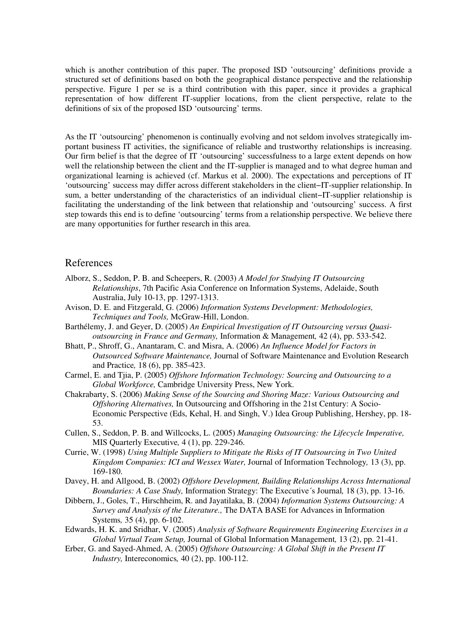which is another contribution of this paper. The proposed ISD 'outsourcing' definitions provide a structured set of definitions based on both the geographical distance perspective and the relationship perspective. Figure 1 per se is a third contribution with this paper, since it provides a graphical representation of how different IT-supplier locations, from the client perspective, relate to the definitions of six of the proposed ISD 'outsourcing' terms.

As the IT 'outsourcing' phenomenon is continually evolving and not seldom involves strategically important business IT activities, the significance of reliable and trustworthy relationships is increasing. Our firm belief is that the degree of IT 'outsourcing' successfulness to a large extent depends on how well the relationship between the client and the IT-supplier is managed and to what degree human and organizational learning is achieved (cf. Markus et al. 2000). The expectations and perceptions of IT 'outsourcing' success may differ across different stakeholders in the client−IT-supplier relationship. In sum, a better understanding of the characteristics of an individual client−IT-supplier relationship is facilitating the understanding of the link between that relationship and 'outsourcing' success. A first step towards this end is to define 'outsourcing' terms from a relationship perspective. We believe there are many opportunities for further research in this area.

### References

- Alborz, S., Seddon, P. B. and Scheepers, R. (2003) *A Model for Studying IT Outsourcing Relationships*, 7th Pacific Asia Conference on Information Systems, Adelaide, South Australia, July 10-13, pp. 1297-1313.
- Avison, D. E. and Fitzgerald, G. (2006) *Information Systems Development: Methodologies, Techniques and Tools,* McGraw-Hill, London.
- Barthélemy, J. and Geyer, D. (2005) *An Empirical Investigation of IT Outsourcing versus Quasioutsourcing in France and Germany,* Information & Management*,* 42 (4), pp. 533-542.
- Bhatt, P., Shroff, G., Anantaram, C. and Misra, A. (2006) *An Influence Model for Factors in Outsourced Software Maintenance,* Journal of Software Maintenance and Evolution Research and Practice*,* 18 (6), pp. 385-423.
- Carmel, E. and Tjia, P. (2005) *Offshore Information Technology: Sourcing and Outsourcing to a Global Workforce,* Cambridge University Press, New York.
- Chakrabarty, S. (2006) *Making Sense of the Sourcing and Shoring Maze: Various Outsourcing and Offshoring Alternatives,* In Outsourcing and Offshoring in the 21st Century: A Socio-Economic Perspective (Eds, Kehal, H. and Singh, V.) Idea Group Publishing, Hershey, pp. 18- 53.
- Cullen, S., Seddon, P. B. and Willcocks, L. (2005) *Managing Outsourcing: the Lifecycle Imperative,* MIS Quarterly Executive*,* 4 (1), pp. 229-246.
- Currie, W. (1998) *Using Multiple Suppliers to Mitigate the Risks of IT Outsourcing in Two United Kingdom Companies: ICI and Wessex Water,* Journal of Information Technology*,* 13 (3), pp. 169-180.
- Davey, H. and Allgood, B. (2002) *Offshore Development, Building Relationships Across International Boundaries: A Case Study,* Information Strategy: The Executive´s Journal*,* 18 (3), pp. 13-16.
- Dibbern, J., Goles, T., Hirschheim, R. and Jayatilaka, B. (2004) *Information Systems Outsourcing: A Survey and Analysis of the Literature.,* The DATA BASE for Advances in Information Systems*,* 35 (4), pp. 6-102.
- Edwards, H. K. and Sridhar, V. (2005) *Analysis of Software Requirements Engineering Exercises in a Global Virtual Team Setup,* Journal of Global Information Management*,* 13 (2), pp. 21-41.
- Erber, G. and Sayed-Ahmed, A. (2005) *Offshore Outsourcing: A Global Shift in the Present IT Industry,* Intereconomics*,* 40 (2), pp. 100-112.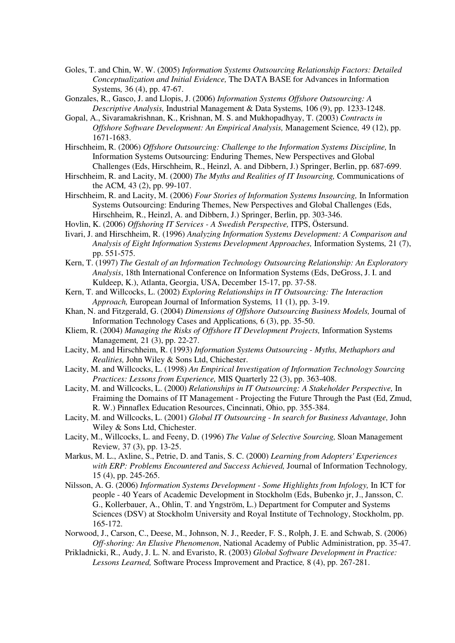- Goles, T. and Chin, W. W. (2005) *Information Systems Outsourcing Relationship Factors: Detailed Conceptualization and Initial Evidence,* The DATA BASE for Advances in Information Systems*,* 36 (4), pp. 47-67.
- Gonzales, R., Gasco, J. and Llopis, J. (2006) *Information Systems Offshore Outsourcing: A Descriptive Analysis,* Industrial Management & Data Systems*,* 106 (9), pp. 1233-1248.
- Gopal, A., Sivaramakrishnan, K., Krishnan, M. S. and Mukhopadhyay, T. (2003) *Contracts in Offshore Software Development: An Empirical Analysis,* Management Science*,* 49 (12), pp. 1671-1683.
- Hirschheim, R. (2006) *Offshore Outsourcing: Challenge to the Information Systems Discipline,* In Information Systems Outsourcing: Enduring Themes, New Perspectives and Global Challenges (Eds, Hirschheim, R., Heinzl, A. and Dibbern, J.) Springer, Berlin, pp. 687-699.
- Hirschheim, R. and Lacity, M. (2000) *The Myths and Realities of IT Insourcing,* Communications of the ACM*,* 43 (2), pp. 99-107.
- Hirschheim, R. and Lacity, M. (2006) *Four Stories of Information Systems Insourcing,* In Information Systems Outsourcing: Enduring Themes, New Perspectives and Global Challenges (Eds, Hirschheim, R., Heinzl, A. and Dibbern, J.) Springer, Berlin, pp. 303-346.
- Hovlin, K. (2006) *Offshoring IT Services A Swedish Perspective,* ITPS, Östersund.
- Iivari, J. and Hirschheim, R. (1996) *Analyzing Information Systems Development: A Comparison and Analysis of Eight Information Systems Development Approaches,* Information Systems*,* 21 (7), pp. 551-575.
- Kern, T. (1997) *The Gestalt of an Information Technology Outsourcing Relationship: An Exploratory Analysis*, 18th International Conference on Information Systems (Eds, DeGross, J. I. and Kuldeep, K.), Atlanta, Georgia, USA, December 15-17, pp. 37-58.
- Kern, T. and Willcocks, L. (2002) *Exploring Relationships in IT Outsourcing: The Interaction Approach,* European Journal of Information Systems*,* 11 (1), pp. 3-19.
- Khan, N. and Fitzgerald, G. (2004) *Dimensions of Offshore Outsourcing Business Models,* Journal of Information Technology Cases and Applications*,* 6 (3), pp. 35-50.
- Kliem, R. (2004) *Managing the Risks of Offshore IT Development Projects,* Information Systems Management*,* 21 (3), pp. 22-27.
- Lacity, M. and Hirschheim, R. (1993) *Information Systems Outsourcing Myths, Methaphors and Realities,* John Wiley & Sons Ltd, Chichester.
- Lacity, M. and Willcocks, L. (1998) *An Empirical Investigation of Information Technology Sourcing Practices: Lessons from Experience,* MIS Quarterly 22 (3), pp. 363-408.
- Lacity, M. and Willcocks, L. (2000) *Relationships in IT Outsourcing: A Stakeholder Perspective,* In Fraiming the Domains of IT Management - Projecting the Future Through the Past (Ed, Zmud, R. W.) Pinnaflex Education Resources, Cincinnati, Ohio, pp. 355-384.
- Lacity, M. and Willcocks, L. (2001) *Global IT Outsourcing In search for Business Advantage,* John Wiley & Sons Ltd, Chichester.
- Lacity, M., Willcocks, L. and Feeny, D. (1996) *The Value of Selective Sourcing,* Sloan Management Review*,* 37 (3), pp. 13-25.
- Markus, M. L., Axline, S., Petrie, D. and Tanis, S. C. (2000) *Learning from Adopters' Experiences with ERP: Problems Encountered and Success Achieved,* Journal of Information Technology*,* 15 (4), pp. 245-265.
- Nilsson, A. G. (2006) *Information Systems Development Some Highlights from Infology,* In ICT for people - 40 Years of Academic Development in Stockholm (Eds, Bubenko jr, J., Jansson, C. G., Kollerbauer, A., Ohlin, T. and Yngström, L.) Department for Computer and Systems Sciences (DSV) at Stockholm University and Royal Institute of Technology, Stockholm, pp. 165-172.
- Norwood, J., Carson, C., Deese, M., Johnson, N. J., Reeder, F. S., Rolph, J. E. and Schwab, S. (2006) *Off-shoring: An Elusive Phenomenon*, National Academy of Public Administration, pp. 35-47.
- Prikladnicki, R., Audy, J. L. N. and Evaristo, R. (2003) *Global Software Development in Practice: Lessons Learned,* Software Process Improvement and Practice*,* 8 (4), pp. 267-281.